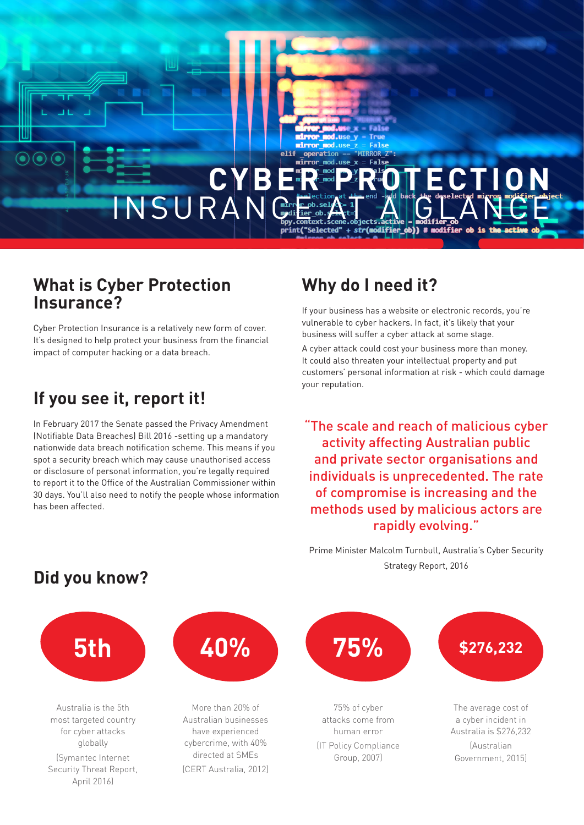

#### **What is Cyber Protection Insurance?**

Cyber Protection Insurance is a relatively new form of cover. It's designed to help protect your business from the financial impact of computer hacking or a data breach.

# **If you see it, report it!**

In February 2017 the Senate passed the Privacy Amendment (Notifiable Data Breaches) Bill 2016 -setting up a mandatory nationwide data breach notification scheme. This means if you spot a security breach which may cause unauthorised access or disclosure of personal information, you're legally required to report it to the Office of the Australian Commissioner within 30 days. You'll also need to notify the people whose information has been affected.

# **Why do I need it?**

If your business has a website or electronic records, you're vulnerable to cyber hackers. In fact, it's likely that your business will suffer a cyber attack at some stage.

A cyber attack could cost your business more than money. It could also threaten your intellectual property and put customers' personal information at risk - which could damage your reputation.

"The scale and reach of malicious cyber activity affecting Australian public and private sector organisations and individuals is unprecedented. The rate of compromise is increasing and the methods used by malicious actors are rapidly evolving."

Strategy Report, 2016

# **Did you know?**

Australia is the 5th most targeted country for cyber attacks globally (Symantec Internet Security Threat Report, April 2016) More than 20% of Australian businesses have experienced cybercrime, with 40% directed at SMEs (CERT Australia, 2012) 75% of cyber attacks come from human error (IT Policy Compliance Group, 2007) The average cost of a cyber incident in Australia is \$276,232 (Australian Government, 2015) **5th 40% 75% \$276,232**

Prime Minister Malcolm Turnbull, Australia's Cyber Security